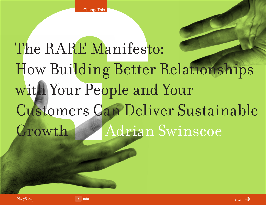# The RARE Manifesto: How Building Better Relationships with Your People and Your Customers Can Deliver Sustainable Growth Adrian Swinscoe

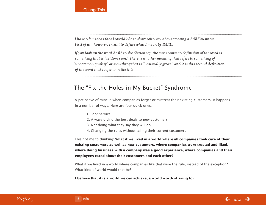*I have a few ideas that I would like to share with you about creating a RARE business. First of all, however, I want to define what I mean by RARE.*

*If you look up the word RARE in the dictionary, the most common definition of the word is something that is "seldom seen." There is another meaning that refers to something of "uncommon quality" or something that is "unusually great," and it is this second definition of the word that I refer to in the title.*

## The "Fix the Holes in My Bucket" Syndrome

A pet peeve of mine is when companies forget or mistreat their existing customers. It happens in a number of ways. Here are four quick ones:

- 1. Poor service
- 2. Always giving the best deals to new customers
- 3. Not doing what they say they will do
- 4. Changing the rules without telling their current customers

This got me to thinking: **What if we lived in a world where all companies took care of their existing customers as well as new customers, where companies were trusted and liked, where doing business with a company was a good experience, where companies and their employees cared about their customers and each other?**

What if we lived in a world where companies like that were the rule, instead of the exception? What kind of world would that he?

**I believe that it is a world we can achieve, a world worth striving for.**

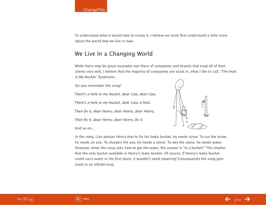#### **ChangeThis**

To understand what it would take to create it, I believe we must first understand a little more about the world that we live in now.

## We Live In a Changing World

While there may be great examples out there of companies and brands that treat all of their clients very well, I believe that the majority of companies are stuck in, what I like to call, "The Hole in My Bucket" Syndrome.

Do you remember the song?

There's a hole in my bucket, dear Liza, dear Liza,

There's a hole in my bucket, dear Liza, a hole.

Then fix it, dear Henry, dear Henry, dear Henry,

Then fix it, dear Henry, dear Henry, fix it.

And so on...



In the song, Liza advises Henry that to fix his leaky bucket, he needs straw. To cut the straw, he needs an axe. To sharpen the axe, he needs a stone. To wet the stone, he needs water. However, when the song asks how to get the water, the answer is "in a bucket!" This implies that the only bucket available is Henry's leaky bucket. Of course, if Henry's leaky bucket could carry water in the first place, it wouldn't need repairing! Consequently the song gets stuck in an infinite-loop.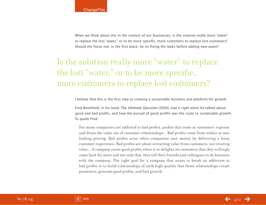When we think about this in the context of our businesses, is the solution really more "water" to replace the lost "water," or to be more specific, more customers to replace lost customers? Should the focus not, in the first place, be on fixing the leaks before adding new water?

# Is the solution really more "water" to replace the lost "water," or to be more specific, more customers to replace lost customers?

I believe that this is the first step to creating a sustainable business and platform for growth.

Fred Reichheld, in his book The Ultimate Question (2006), had it right when he talked about good and bad profits, and how the pursuit of good profits was the route to sustainable growth. To quote Fred:

Too many companies are addicted to bad profits, profits that come at customers' expense and drain the value out of customer relationships... Bad profits come from unfair or misleading pricing. Bad profits arise when companies save money by delivering a lousy customer experience. Bad profits are about extracting value from customers, not creating value... A company earns good profits when it so delights its customers that they willingly come back for more and not only that, they tell their friends and colleagues to do business with the company. The right goal for a company that wants to break an addiction to bad profits is to build relationships of such high quality that those relationships create promoters, generate good profits, and fuel growth.

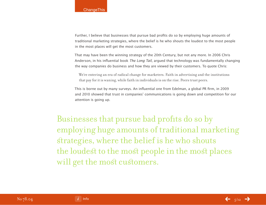Further, I believe that businesses that pursue bad profits do so by employing huge amounts of traditional marketing strategies, where the belief is he who shouts the loudest to the most people in the most places will get the most customers.

That may have been the winning strategy of the 20th Century, but not any more. In 2006 Chris Anderson, in his influential book The Long Tail, argued that technology was fundamentally changing the way companies do business and how they are viewed by their customers. To quote Chris:

We're entering an era of radical change for marketers. Faith in advertising and the institutions that pay for it is waning, while faith in individuals is on the rise. Peers trust peers.

This is borne out by many surveys. An influential one from Edelman, a global PR firm, in 2009 and 2010 showed that trust in companies' communications is going down and competition for our attention is going up.

Businesses that pursue bad profits do so by employing huge amounts of traditional marketing strategies, where the belief is he who shouts the loudest to the most people in the most places will get the most customers.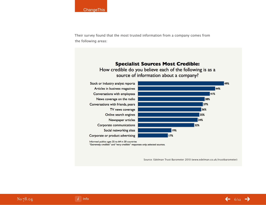Their survey found that the most trusted information from a company comes from the following areas:



Informed publics ages 25 to 64 in 20 countries "Extremely credible" and "very credible" responses only; selected sources.

Source: Edelman Trust Barometer 2010 (www.edelman.co.uk/trustbarometer)

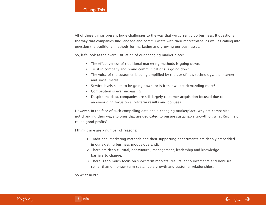All of these things present huge challenges to the way that we currently do business. It questions the way that companies find, engage and communicate with their marketplace, as well as calling into question the traditional methods for marketing and growing our businesses.

So, let's look at the overall situation of our changing market place:

- The effectiveness of traditional marketing methods is going down.
- Trust in company and brand communications is going down.
- The voice of the customer is being amplified by the use of new technology, the internet and social media.
- Service levels seem to be going down, or is it that we are demanding more?
- Competition is ever increasing.
- Despite the data, companies are still largely customer acquisition focused due to an over-riding focus on short-term results and bonuses.

However, in the face of such compelling data and a changing marketplace, why are companies not changing their ways to ones that are dedicated to pursue sustainable growth or, what Reichheld called good profits?

I think there are a number of reasons:

- 1. Traditional marketing methods and their supporting departments are deeply embedded in our existing business modus operandi.
- 2. There are deep cultural, behavioural, management, leadership and knowledge barriers to change.
- 3. There is too much focus on short-term markets, results, announcements and bonuses rather than on longer term sustainable growth and customer relationships.

So what next?

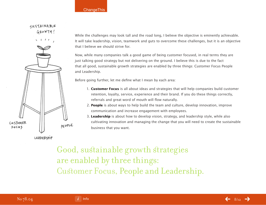#### **ChangeThis**



SUSTAINABLE

While the challenges may look tall and the road long, I believe the objective is eminently achievable. It will take leadership, vision, teamwork and guts to overcome these challenges, but it is an objective that I believe we should strive for.

Now, while many companies talk a good game of being customer focused, in real terms they are just talking good strategy but not delivering on the ground. I believe this is due to the fact that all good, sustainable growth strategies are enabled by three things: Customer Focus People and Leadership.

Before going further, let me define what I mean by each area:

- 1. **Customer Focus** is all about ideas and strategies that will help companies build customer retention, loyalty, service, experience and their brand. If you do these things correctly, referrals and great word of mouth will flow naturally.
- 2. **People** is about ways to help build the team and culture, develop innovation, improve communication and increase engagement with employees.
- 3. **Leadership** is about how to develop vision, strategy, and leadership style, while also cultivating innovation and managing the change that you will need to create the sustainable business that you want.

Good, sustainable growth strategies are enabled by three things: Customer Focus, People and Leadership.

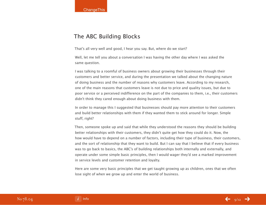## The ABC Building Blocks

That's all very well and good, I hear you say. But, where do we start?

Well, let me tell you about a conversation I was having the other day where I was asked the same question.

I was talking to a roomful of business owners about growing their businesses through their customers and better service, and during the presentation we talked about the changing nature of doing business and the number of reasons why customers leave. According to my research, one of the main reasons that customers leave is not due to price and quality issues, but due to poor service or a perceived indifference on the part of the companies to them, i.e., their customers didn't think they cared enough about doing business with them.

In order to manage this I suggested that businesses should pay more attention to their customers and build better relationships with them if they wanted them to stick around for longer. Simple stuff, right?

Then, someone spoke up and said that while they understood the reasons they should be building better relationships with their customers, they didn't quite get how they could do it. Now, the how would have to depend on a number of factors, including their type of business, their customers, and the sort of relationship that they want to build. But I can say that I believe that if every business was to go back to basics, the ABC's of building relationships both internally and externally, and operate under some simple basic principles, then I would wager they'd see a marked improvement in service levels and customer retention and loyalty.

Here are some very basic principles that we get taught growing up as children, ones that we often lose sight of when we grow up and enter the world of business.

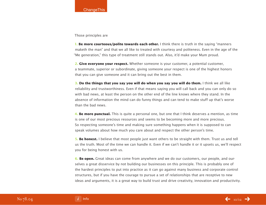Those principles are

**1. Be more courteous/polite towards each other.** I think there is truth in the saying "manners" maketh the man" and that we all like to treated with courtesy and politeness. Even in the age of the "Me generation," this type of treatment still stands out. Also, it'd make your Mum proud.

**2. Give everyone your respect.** Whether someone is your customer, a potential customer, a teammate, superior or subordinate, giving someone your respect is one of the highest honors that you can give someone and it can bring out the best in them.

**3. Do the things that you say you will do when you say you will do them.** I think we all like reliability and trustworthiness. Even if that means saying you will call back and you can only do so with bad news, at least the person on the other end of the line knows where they stand. In the absence of information the mind can do funny things and can tend to make stuff up that's worse than the bad news.

**4. Be more punctual.** This is quite a personal one, but one that I think deserves a mention, as time is one of our most precious resources and seems to be becoming more and more precious. So respecting someone's time and making sure something happens when it is supposed to can speak volumes about how much you care about and respect the other person's time.

**5. Be honest.** I believe that most people just want others to be straight with them. Trust us and tell us the truth. Most of the time we can handle it. Even if we can't handle it or it upsets us, we'll respect you for being honest with us.

**6. Be open.** Great ideas can come from anywhere and we do our customers, our people, and ourselves a great disservice by not building our businesses on this principle. This is probably one of the hardest principles to put into practice as it can go against many business and corporate control structures, but if you have the courage to pursue a set of relationships that are receptive to new ideas and arguments, it is a great way to build trust and drive creativity, innovation and productivity.

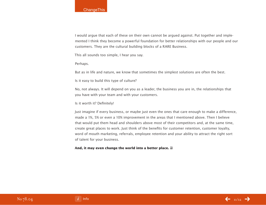I would argue that each of these on their own cannot be argued against. Put together and implemented I think they become a powerful foundation for better relationships with our people and our customers. They are the cultural building blocks of a RARE Business.

This all sounds too simple, I hear you say.

Perhaps.

But as in life and nature, we know that sometimes the simplest solutions are often the best.

Is it easy to build this type of culture?

No, not always. It will depend on you as a leader, the business you are in, the relationships that you have with your team and with your customers.

Is it worth it? Definitely!

Just imagine if every business, or maybe just even the ones that care enough to make a difference, made a 1%, 5% or even a 10% improvement in the areas that I mentioned above. Then I believe that would put them head and shoulders above most of their competitors and, at the same time, create great places to work. Just think of the benefits for customer retention, customer loyalty, word of mouth marketing, referrals, employee retention and your ability to attract the right sort of talent for your business.

#### **And, it may even change the world into a better place.**